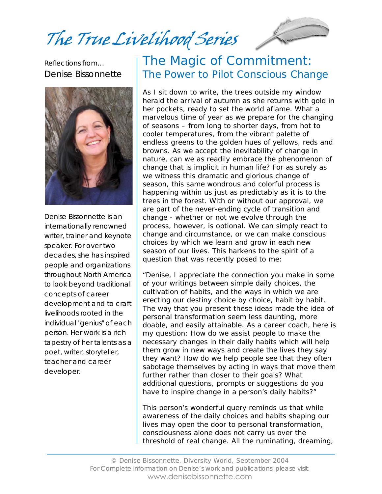The True Livelihood Series

Reflections from… Denise Bissonnette



Denise Bissonnette is an internationally renowned writer, trainer and keynote speaker. For over two decades, she has inspired people and organizations throughout North America to look beyond traditional concepts of career development and to craft livelihoods rooted in the individual "genius" of each person. Her work is a rich tapestry of her talents as a poet, writer, storyteller, teacher and career developer.

#### The Magic of Commitment: The Power to Pilot Conscious Change

As I sit down to write, the trees outside my window herald the arrival of autumn as she returns with gold in her pockets, ready to set the world aflame. What a marvelous time of year as we prepare for the changing of seasons – from long to shorter days, from hot to cooler temperatures, from the vibrant palette of endless greens to the golden hues of yellows, reds and browns. As we accept the inevitability of change in nature, can we as readily embrace the phenomenon of change that is implicit in human life? For as surely as we witness this dramatic and glorious change of season, this same wondrous and colorful process is happening within us just as predictably as it is to the trees in the forest. With or without our approval, we are part of the never-ending cycle of transition and change - whether or not we evolve through the process, however, is optional. We can simply react to change and circumstance, or we can make conscious choices by which we learn and grow in each new season of our lives. This harkens to the spirit of a question that was recently posed to me:

"Denise, I appreciate the connection you make in some of your writings between simple daily choices, the cultivation of habits, and the ways in which we are erecting our destiny choice by choice, habit by habit. The way that you present these ideas made the idea of personal transformation seem less daunting, more doable, and easily attainable. As a career coach, here is my question: How do we assist people to make the necessary changes in their daily habits which will help them grow in new ways and create the lives they say they want? How do we help people see that they often sabotage themselves by acting in ways that move them further rather than closer to their goals? What additional questions, prompts or suggestions do you have to inspire change in a person's daily habits?"

This person's wonderful query reminds us that while awareness of the daily choices and habits shaping our lives may open the door to personal transformation, consciousness alone does not carry us over the threshold of real change. All the ruminating, dreaming,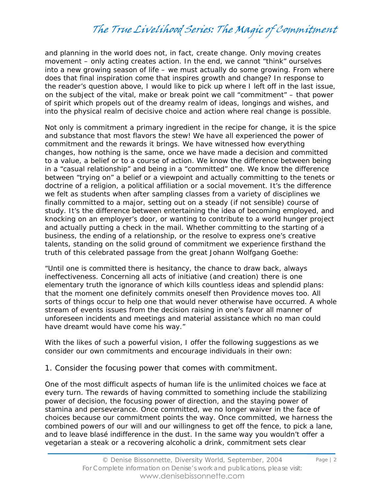and planning in the world does not, in fact, create change. Only moving creates movement – only acting creates action. In the end, we cannot "think" ourselves into a new growing season of life – we must actually do some growing. From where does that final inspiration come that inspires growth and change? In response to the reader's question above, I would like to pick up where I left off in the last issue, on the subject of the vital, make or break point we call "commitment" – that power of spirit which propels out of the dreamy realm of ideas, longings and wishes, and into the physical realm of decisive choice and action where real change is possible.

Not only is commitment a primary ingredient in the recipe for change, it is the spice and substance that most flavors the stew! We have all experienced the power of commitment and the rewards it brings. We have witnessed how everything changes, how nothing is the same, once we have made a decision and committed to a value, a belief or to a course of action. We know the difference between being in a "casual relationship" and being in a "committed" one. We know the difference between "trying on" a belief or a viewpoint and actually committing to the tenets or doctrine of a religion, a political affiliation or a social movement. It's the difference we felt as students when after sampling classes from a variety of disciplines we finally committed to a major, setting out on a steady (if not sensible) course of study. It's the difference between entertaining the idea of becoming employed, and knocking on an employer's door, or wanting to contribute to a world hunger project and actually putting a check in the mail. Whether committing to the starting of a business, the ending of a relationship, or the resolve to express one's creative talents, standing on the solid ground of commitment we experience firsthand the truth of this celebrated passage from the great Johann Wolfgang Goethe:

"Until one is committed there is hesitancy, the chance to draw back, always ineffectiveness. Concerning all acts of initiative (and creation) there is one elementary truth the ignorance of which kills countless ideas and splendid plans: that the moment one definitely commits oneself then Providence moves too. All sorts of things occur to help one that would never otherwise have occurred. A whole stream of events issues from the decision raising in one's favor all manner of unforeseen incidents and meetings and material assistance which no man could have dreamt would have come his way."

With the likes of such a powerful vision, I offer the following suggestions as we consider our own commitments and encourage individuals in their own:

1. Consider the focusing power that comes with commitment.

One of the most difficult aspects of human life is the unlimited choices we face at every turn. The rewards of having committed to something include the stabilizing power of decision, the focusing power of direction, and the staying power of stamina and perseverance. Once committed, we no longer waiver in the face of choices because our commitment points the way. Once committed, we harness the combined powers of our will and our willingness to get off the fence, to pick a lane, and to leave blasé indifference in the dust. In the same way you wouldn't offer a vegetarian a steak or a recovering alcoholic a drink, commitment sets clear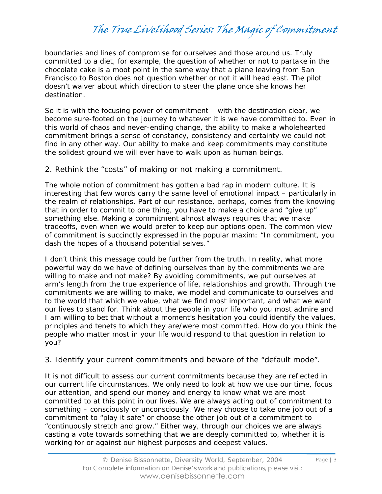boundaries and lines of compromise for ourselves and those around us. Truly committed to a diet, for example, the question of whether or not to partake in the chocolate cake is a moot point in the same way that a plane leaving from San Francisco to Boston does not question whether or not it will head east. The pilot doesn't waiver about which direction to steer the plane once she knows her destination.

So it is with the focusing power of commitment – with the destination clear, we become sure-footed on the journey to whatever it is we have committed to. Even in this world of chaos and never-ending change, the ability to make a wholehearted commitment brings a sense of constancy, consistency and certainty we could not find in any other way. Our ability to make and keep commitments may constitute the solidest ground we will ever have to walk upon as human beings.

2. Rethink the "costs" of making or not making a commitment.

The whole notion of commitment has gotten a bad rap in modern culture. It is interesting that few words carry the same level of emotional impact – particularly in the realm of relationships. Part of our resistance, perhaps, comes from the knowing that in order to commit to one thing, you have to make a choice and "give up" something else. Making a commitment almost always requires that we make tradeoffs, even when we would prefer to keep our options open. The common view of commitment is succinctly expressed in the popular maxim: "In commitment, you dash the hopes of a thousand potential selves."

I don't think this message could be further from the truth. In reality, what more powerful way do we have of defining ourselves than by the commitments we are willing to make and not make? By avoiding commitments, we put ourselves at arm's length from the true experience of life, relationships and growth. Through the commitments we are willing to make, we model and communicate to ourselves and to the world that which we value, what we find most important, and what we want our lives to stand for. Think about the people in your life who you most admire and I am willing to bet that without a moment's hesitation you could identify the values, principles and tenets to which they are/were most committed. How do you think the people who matter most in your life would respond to that question in relation to you?

3. Identify your current commitments and beware of the "default mode".

It is not difficult to assess our current commitments because they are reflected in our current life circumstances. We only need to look at how we use our time, focus our attention, and spend our money and energy to know what we are most committed to at this point in our lives. We are always acting out of commitment to something – consciously or unconsciously. We may choose to take one job out of a commitment to "play it safe" or choose the other job out of a commitment to "continuously stretch and grow." Either way, through our choices we are always casting a vote towards something that we are deeply committed to, whether it is working for or against our highest purposes and deepest values.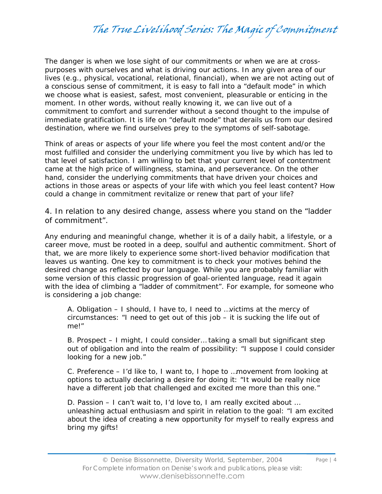The danger is when we lose sight of our commitments or when we are at crosspurposes with ourselves and what is driving our actions. In any given area of our lives (e.g., physical, vocational, relational, financial), when we are not acting out of a conscious sense of commitment, it is easy to fall into a "default mode" in which we choose what is easiest, safest, most convenient, pleasurable or enticing in the moment. In other words, without really knowing it, we can live out of a commitment to comfort and surrender without a second thought to the impulse of immediate gratification. It is life on "default mode" that derails us from our desired destination, where we find ourselves prey to the symptoms of self-sabotage.

Think of areas or aspects of your life where you feel the most content and/or the most fulfilled and consider the underlying commitment you live by which has led to that level of satisfaction. I am willing to bet that your current level of contentment came at the high price of willingness, stamina, and perseverance. On the other hand, consider the underlying commitments that have driven your choices and actions in those areas or aspects of your life with which you feel least content? How could a change in commitment revitalize or renew that part of your life?

4. In relation to any desired change, assess where you stand on the "ladder of commitment".

Any enduring and meaningful change, whether it is of a daily habit, a lifestyle, or a career move, must be rooted in a deep, soulful and authentic commitment. Short of that, we are more likely to experience some short-lived behavior modification that leaves us wanting. One key to commitment is to check your motives behind the desired change as reflected by our language. While you are probably familiar with some version of this classic progression of goal-oriented language, read it again with the idea of climbing a "ladder of commitment". For example, for someone who is considering a job change:

A. Obligation – I should, I have to, I need to …victims at the mercy of circumstances: "I need to get out of this job – it is sucking the life out of me!"

B. Prospect – I might, I could consider… taking a small but significant step out of obligation and into the realm of possibility: "I suppose I could consider looking for a new job."

C. Preference – I'd like to, I want to, I hope to …movement from looking at options to actually declaring a desire for doing it: "It would be really nice have a different job that challenged and excited me more than this one."

D. Passion – I can't wait to, I'd love to, I am really excited about … unleashing actual enthusiasm and spirit in relation to the goal: "I am excited about the idea of creating a new opportunity for myself to really express and bring my gifts!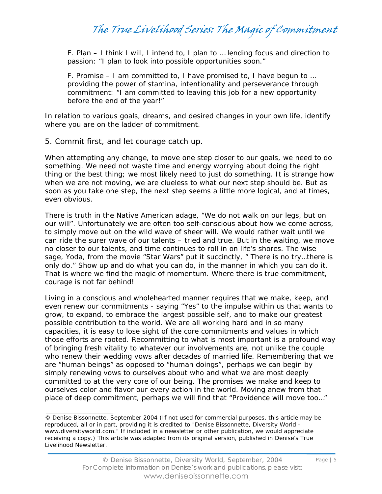E. Plan – I think I will, I intend to, I plan to … lending focus and direction to passion: "I plan to look into possible opportunities soon."

F. Promise – I am committed to, I have promised to, I have begun to … providing the power of stamina, intentionality and perseverance through commitment: "I am committed to leaving this job for a new opportunity before the end of the year!"

In relation to various goals, dreams, and desired changes in your own life, identify where you are on the ladder of commitment.

5. Commit first, and let courage catch up.

When attempting any change, to move one step closer to our goals, we need to do something. We need not waste time and energy worrying about doing the right thing or the best thing; we most likely need to just do something. It is strange how when we are not moving, we are clueless to what our next step should be. But as soon as you take one step, the next step seems a little more logical, and at times, even obvious.

There is truth in the Native American adage, "We do not walk on our legs, but on our will". Unfortunately we are often too self-conscious about how we come across, to simply move out on the wild wave of sheer will. We would rather wait until we can ride the surer wave of our talents – tried and true. But in the waiting, we move no closer to our talents, and time continues to roll in on life's shores. The wise sage, Yoda, from the movie "Star Wars" put it succinctly, " There is no try...there is only do." Show up and do what you can do, in the manner in which you can do it. That is where we find the magic of momentum. Where there is true commitment, courage is not far behind!

Living in a conscious and wholehearted manner requires that we make, keep, and even renew our commitments - saying "Yes" to the impulse within us that wants to grow, to expand, to embrace the largest possible self, and to make our greatest possible contribution to the world. We are all working hard and in so many capacities, it is easy to lose sight of the core commitments and values in which those efforts are rooted. Recommitting to what is most important is a profound way of bringing fresh vitality to whatever our involvements are, not unlike the couple who renew their wedding vows after decades of married life. Remembering that we are "human beings" as opposed to "human doings", perhaps we can begin by simply renewing vows to ourselves about who and what we are most deeply committed to at the very core of our being. The promises we make and keep to ourselves color and flavor our every action in the world. Moving anew from that place of deep commitment, perhaps we will find that "Providence will move too…"

<sup>©</sup> Denise Bissonnette, September 2004 (If not used for commercial purposes, this article may be reproduced, all or in part, providing it is credited to "Denise Bissonnette, Diversity World www.diversityworld.com." If included in a newsletter or other publication, we would appreciate receiving a copy.) This article was adapted from its original version, published in Denise's *True Livelihood Newsletter*.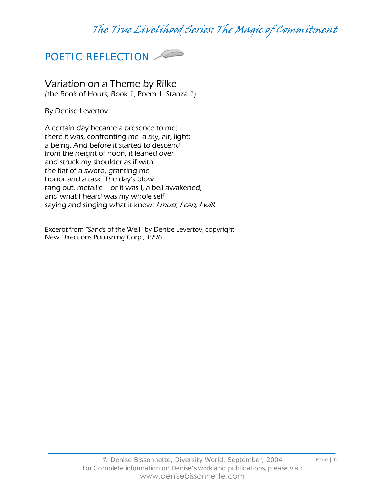

Variation on a Theme by Rilke (the Book of Hours, Book 1, Poem 1. Stanza 1)

By Denise Levertov

A certain day became a presence to me; there it was, confronting me- a sky, air, light: a being. And before it started to descend from the height of noon, it leaned over and struck my shoulder as if with the flat of a sword, granting me honor and a task. The day's blow rang out, metallic – or it was I, a bell awakened, and what I heard was my whole self saying and singing what it knew: I must, I can, I will.

Excerpt from "Sands of the Well" by Denise Levertov, copyright New Directions Publishing Corp., 1996.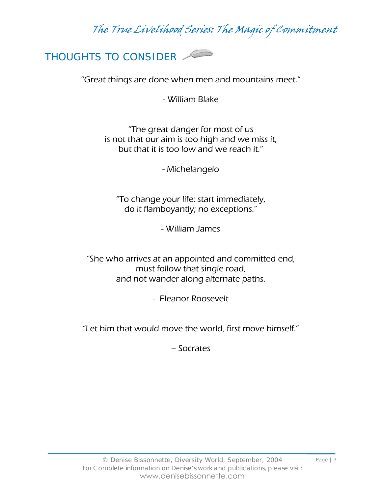

"Great things are done when men and mountains meet."

- William Blake

"The great danger for most of us is not that our aim is too high and we miss it, but that it is too low and we reach it."

- Michelangelo

"To change your life: start immediately, do it flamboyantly; no exceptions."

- William James

"She who arrives at an appointed and committed end, must follow that single road, and not wander along alternate paths.

- Eleanor Roosevelt

"Let him that would move the world, first move himself."

– Socrates